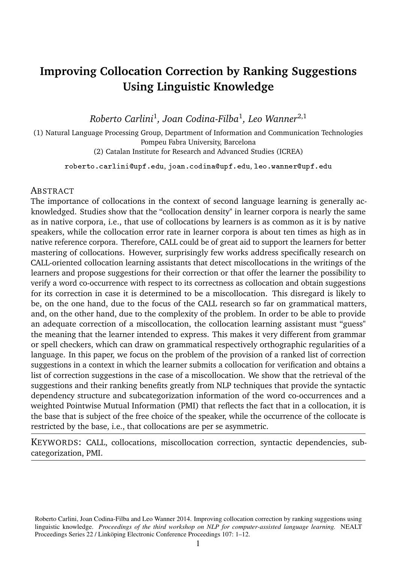# **Improving Collocation Correction by Ranking Suggestions Using Linguistic Knowledge**

*Roberto Carlini*<sup>1</sup> *, Joan Codina-Filba*<sup>1</sup> *, Leo Wanner*2,1

(1) Natural Language Processing Group, Department of Information and Communication Technologies Pompeu Fabra University, Barcelona (2) Catalan Institute for Research and Advanced Studies (ICREA)

roberto.carlini@upf.edu, joan.codina@upf.edu, leo.wanner@upf.edu

#### **ABSTRACT**

The importance of collocations in the context of second language learning is generally acknowledged. Studies show that the "collocation density" in learner corpora is nearly the same as in native corpora, i.e., that use of collocations by learners is as common as it is by native speakers, while the collocation error rate in learner corpora is about ten times as high as in native reference corpora. Therefore, CALL could be of great aid to support the learners for better mastering of collocations. However, surprisingly few works address specifically research on CALL-oriented collocation learning assistants that detect miscollocations in the writings of the learners and propose suggestions for their correction or that offer the learner the possibility to verify a word co-occurrence with respect to its correctness as collocation and obtain suggestions for its correction in case it is determined to be a miscollocation. This disregard is likely to be, on the one hand, due to the focus of the CALL research so far on grammatical matters, and, on the other hand, due to the complexity of the problem. In order to be able to provide an adequate correction of a miscollocation, the collocation learning assistant must "guess" the meaning that the learner intended to express. This makes it very different from grammar or spell checkers, which can draw on grammatical respectively orthographic regularities of a language. In this paper, we focus on the problem of the provision of a ranked list of correction suggestions in a context in which the learner submits a collocation for verification and obtains a list of correction suggestions in the case of a miscollocation. We show that the retrieval of the suggestions and their ranking benefits greatly from NLP techniques that provide the syntactic dependency structure and subcategorization information of the word co-occurrences and a weighted Pointwise Mutual Information (PMI) that reflects the fact that in a collocation, it is the base that is subject of the free choice of the speaker, while the occurrence of the collocate is restricted by the base, i.e., that collocations are per se asymmetric.

KEYWORDS: CALL, collocations, miscollocation correction, syntactic dependencies, subcategorization, PMI.

Roberto Carlini, Joan Codina-Filba and Leo Wanner 2014. Improving collocation correction by ranking suggestions using linguistic knowledge. *Proceedings of the third workshop on NLP for computer-assisted language learning.* NEALT Proceedings Series 22 / Linköping Electronic Conference Proceedings 107: 1–12.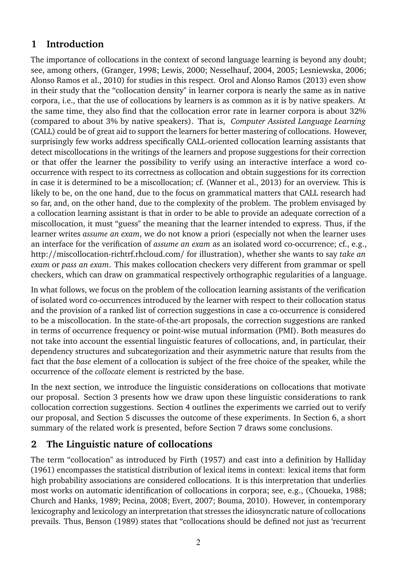### **1 Introduction**

The importance of collocations in the context of second language learning is beyond any doubt; see, among others, (Granger, 1998; Lewis, 2000; Nesselhauf, 2004, 2005; Lesniewska, 2006; Alonso Ramos et al., 2010) for studies in this respect. Orol and Alonso Ramos (2013) even show in their study that the "collocation density" in learner corpora is nearly the same as in native corpora, i.e., that the use of collocations by learners is as common as it is by native speakers. At the same time, they also find that the collocation error rate in learner corpora is about 32% (compared to about 3% by native speakers). That is, *Computer Assisted Language Learning* (CALL) could be of great aid to support the learners for better mastering of collocations. However, surprisingly few works address specifically CALL-oriented collocation learning assistants that detect miscollocations in the writings of the learners and propose suggestions for their correction or that offer the learner the possibility to verify using an interactive interface a word cooccurrence with respect to its correctness as collocation and obtain suggestions for its correction in case it is determined to be a miscollocation; cf. (Wanner et al., 2013) for an overview. This is likely to be, on the one hand, due to the focus on grammatical matters that CALL research had so far, and, on the other hand, due to the complexity of the problem. The problem envisaged by a collocation learning assistant is that in order to be able to provide an adequate correction of a miscollocation, it must "guess" the meaning that the learner intended to express. Thus, if the learner writes *assume an exam*, we do not know a priori (especially not when the learner uses an interface for the verification of *assume an exam* as an isolated word co-occurrence; cf., e.g., http://miscollocation-richtrf.rhcloud.com/ for illustration), whether she wants to say *take an exam* or *pass an exam*. This makes collocation checkers very different from grammar or spell checkers, which can draw on grammatical respectively orthographic regularities of a language.

In what follows, we focus on the problem of the collocation learning assistants of the verification of isolated word co-occurrences introduced by the learner with respect to their collocation status and the provision of a ranked list of correction suggestions in case a co-occurrence is considered to be a miscollocation. In the state-of-the-art proposals, the correction suggestions are ranked in terms of occurrence frequency or point-wise mutual information (PMI). Both measures do not take into account the essential linguistic features of collocations, and, in particular, their dependency structures and subcategorization and their asymmetric nature that results from the fact that the *base* element of a collocation is subject of the free choice of the speaker, while the occurrence of the *collocate* element is restricted by the base.

In the next section, we introduce the linguistic considerations on collocations that motivate our proposal. Section 3 presents how we draw upon these linguistic considerations to rank collocation correction suggestions. Section 4 outlines the experiments we carried out to verify our proposal, and Section 5 discusses the outcome of these experiments. In Section 6, a short summary of the related work is presented, before Section 7 draws some conclusions.

## **2 The Linguistic nature of collocations**

The term "collocation" as introduced by Firth (1957) and cast into a definition by Halliday (1961) encompasses the statistical distribution of lexical items in context: lexical items that form high probability associations are considered collocations. It is this interpretation that underlies most works on automatic identification of collocations in corpora; see, e.g., (Choueka, 1988; Church and Hanks, 1989; Pecina, 2008; Evert, 2007; Bouma, 2010). However, in contemporary lexicography and lexicology an interpretation that stresses the idiosyncratic nature of collocations prevails. Thus, Benson (1989) states that "collocations should be defined not just as 'recurrent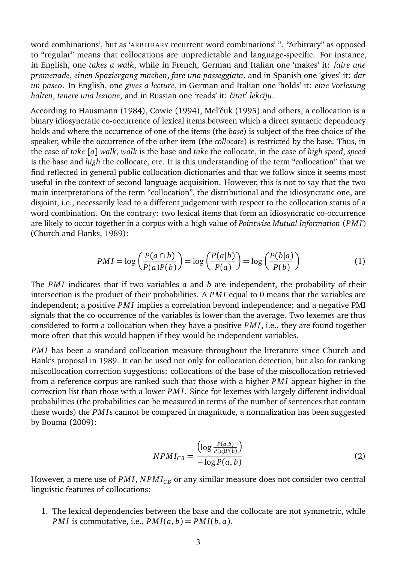word combinations', but as 'ARBITRARY recurrent word combinations' ". "Arbitrary" as opposed to "regular" means that collocations are unpredictable and language-specific. For instance, in English, one *takes a walk*, while in French, German and Italian one 'makes' it: *faire une promenade*, *einen Spaziergang machen*, *fare una passeggiata*, and in Spanish one 'gives' it: *dar un paseo*. In English, one *gives a lecture*, in German and Italian one 'holds' it: *eine Vorlesung halten*, *tenere una lezione*, and in Russian one 'reads' it: *ˇcitat*′ *lekciju*.

According to Hausmann (1984), Cowie (1994), Mel'čuk (1995) and others, a collocation is a binary idiosyncratic co-occurrence of lexical items between which a direct syntactic dependency holds and where the occurrence of one of the items (the *base*) is subject of the free choice of the speaker, while the occurrence of the other item (the *collocate*) is restricted by the base. Thus, in the case of *take* [*a*] *walk*, *walk* is the base and *take* the collocate, in the case of *high speed*, *speed* is the base and *high* the collocate, etc. It is this understanding of the term "collocation" that we find reflected in general public collocation dictionaries and that we follow since it seems most useful in the context of second language acquisition. However, this is not to say that the two main interpretations of the term "collocation", the distributional and the idiosyncratic one, are disjoint, i.e., necessarily lead to a different judgement with respect to the collocation status of a word combination. On the contrary: two lexical items that form an idiosyncratic co-occurrence are likely to occur together in a corpus with a high value of *Pointwise Mutual Information* (*PM I*) (Church and Hanks, 1989):

$$
PMI = \log\left(\frac{P(a \cap b)}{P(a)P(b)}\right) = \log\left(\frac{P(a|b)}{P(a)}\right) = \log\left(\frac{P(b|a)}{P(b)}\right)
$$
(1)

The *PM I* indicates that if two variables *a* and *b* are independent, the probability of their intersection is the product of their probabilities. A *PM I* equal to 0 means that the variables are independent; a positive *PM I* implies a correlation beyond independence; and a negative PMI signals that the co-occurrence of the variables is lower than the average. Two lexemes are thus considered to form a collocation when they have a positive *PM I*, i.e., they are found together more often that this would happen if they would be independent variables.

*PMI* has been a standard collocation measure throughout the literature since Church and Hank's proposal in 1989. It can be used not only for collocation detection, but also for ranking miscollocation correction suggestions: collocations of the base of the miscollocation retrieved from a reference corpus are ranked such that those with a higher *PM I* appear higher in the correction list than those with a lower *PM I*. Since for lexemes with largely different individual probabilities (the probabilities can be measured in terms of the number of sentences that contain these words) the *PM I*s cannot be compared in magnitude, a normalization has been suggested by Bouma (2009):

$$
NPMI_{CB} = \frac{\left(\log \frac{P(a,b)}{P(a)P(b)}\right)}{-\log P(a,b)}\tag{2}
$$

However, a mere use of *PMI*, *NPMI*<sub>*CB*</sub> or any similar measure does not consider two central linguistic features of collocations:

1. The lexical dependencies between the base and the collocate are not symmetric, while *PMI* is commutative, i.e.,  $PMI(a, b) = PMI(b, a)$ .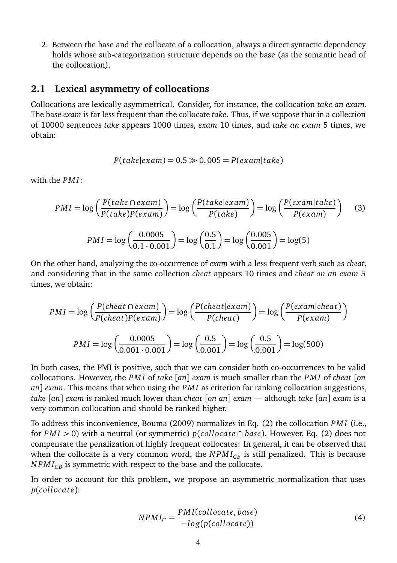2. Between the base and the collocate of a collocation, always a direct syntactic dependency holds whose sub-categorization structure depends on the base (as the semantic head of the collocation).

#### **2.1 Lexical asymmetry of collocations**

Collocations are lexically asymmetrical. Consider, for instance, the collocation *take an exam*. The base *exam* is far less frequent than the collocate *take*. Thus, if we suppose that in a collection of 10000 sentences *take* appears 1000 times, *exam* 10 times, and *take an exam* 5 times, we obtain:

$$
P(take|exam) = 0.5 \gg 0,005 = P(exam|take)
$$

with the *PMI*:

$$
PMI = \log\left(\frac{P(take \cap exam)}{P(take)P(exam)}\right) = \log\left(\frac{P(take|exam)}{P(take)}\right) = \log\left(\frac{P(exam|take)}{P(exam)}\right) \quad (3)
$$

$$
PMI = \log\left(\frac{0.0005}{0.1 \cdot 0.001}\right) = \log\left(\frac{0.5}{0.1}\right) = \log\left(\frac{0.005}{0.001}\right) = \log(5)
$$

On the other hand, analyzing the co-occurrence of *exam* with a less frequent verb such as *cheat*, and considering that in the same collection *cheat* appears 10 times and *cheat on an exam* 5 times, we obtain:

$$
PMI = \log\left(\frac{P(cheat \cap exam)}{P(cheat)P(exam)}\right) = \log\left(\frac{P(cheat \mid exam)}{P(cheat)}\right) = \log\left(\frac{P(exam|cheat)}{P(exam)}\right)
$$

$$
PMI = \log\left(\frac{0.0005}{0.001 \cdot 0.001}\right) = \log\left(\frac{0.5}{0.001}\right) = \log\left(\frac{0.5}{0.001}\right) = \log(500)
$$

In both cases, the PMI is positive, such that we can consider both co-occurrences to be valid collocations. However, the *PM I* of *take* [*an*] *exam* is much smaller than the *PM I* of *cheat* [*on an*] *exam*. This means that when using the *PM I* as criterion for ranking collocation suggestions, *take* [*an*] *exam* is ranked much lower than *cheat* [*on an*] *exam* — although *take* [*an*] *exam* is a very common collocation and should be ranked higher.

To address this inconvenience, Bouma (2009) normalizes in Eq. (2) the collocation *PM I* (i.e., for *PM I >* 0) with a neutral (or symmetric) *p*(*colloca te* ∩ *base*). However, Eq. (2) does not compensate the penalization of highly frequent collocates: In general, it can be observed that when the collocate is a very common word, the  $NPMI_{CR}$  is still penalized. This is because  $NPMI_{CR}$  is symmetric with respect to the base and the collocate.

In order to account for this problem, we propose an asymmetric normalization that uses  $p(collocate)$ :

$$
NPMI_C = \frac{PMI(collocate, base)}{-log(p(collocate))}
$$
\n(4)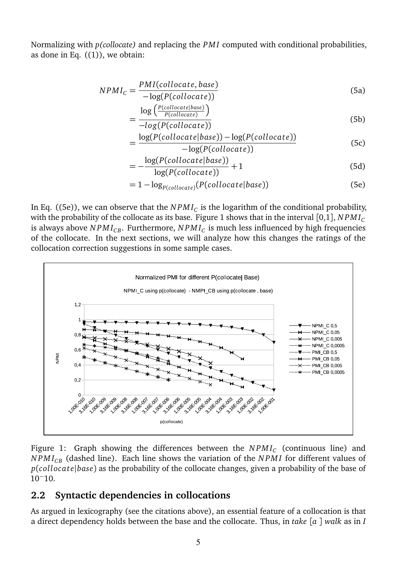Normalizing with *p(collocate)* and replacing the *PM I* computed with conditional probabilities, as done in Eq.  $((1))$ , we obtain:

$$
NPMI_C = \frac{PMI(collocate, base)}{-\log(P(collocate))}
$$
\n(5a)

$$
=\frac{\log\left(\frac{P(collocate|base)}{P(collocate)}\right)}{-log(P(collocate))}
$$
(5b)

$$
= \frac{\log(P(collocate|base)) - \log(P(collocate))}{-\log(P(collocate))}
$$
(5c)

$$
= -\frac{\log(P(collocate|base))}{\log(P(collocate))} + 1
$$
\n(5d)

$$
= 1 - \log_{P(collocate)}(P(collocate|base))
$$
 (5e)

In Eq. ((5e)), we can observe that the  $NPMI_{C}$  is the logarithm of the conditional probability, with the probability of the collocate as its base. Figure 1 shows that in the interval  $[0,1]$ ,  $NPMI_C$ is always above  $NPMI_{\scriptscriptstyle CB}$ . Furthermore,  $NPMI_{\scriptscriptstyle C}$  is much less influenced by high frequencies of the collocate. In the next sections, we will analyze how this changes the ratings of the collocation correction suggestions in some sample cases.



Figure 1: Graph showing the differences between the  $\mathit{NPMI_C}$  (continuous line) and *NPMI<sub>CB</sub>* (dashed line). Each line shows the variation of the *NPMI* for different values of *p*(*colloca te*|*base*) as the probability of the collocate changes, given a probability of the base of 10<sup>−</sup>10.

### **2.2 Syntactic dependencies in collocations**

As argued in lexicography (see the citations above), an essential feature of a collocation is that a direct dependency holds between the base and the collocate. Thus, in *take* [*a* ] *walk* as in *I*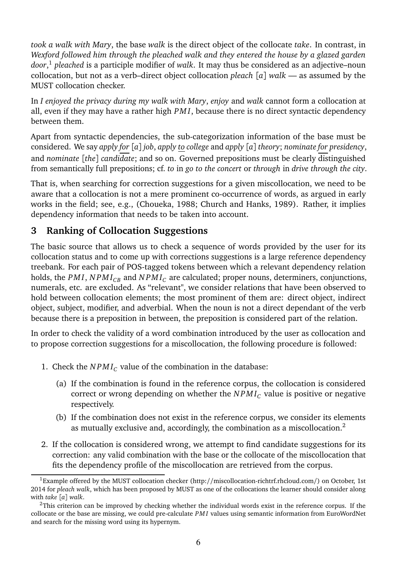*took a walk with Mary*, the base *walk* is the direct object of the collocate *take*. In contrast, in *Wexford followed him through the pleached walk and they entered the house by a glazed garden door*, 1 *pleached* is a participle modifier of *walk*. It may thus be considered as an adjective–noun collocation, but not as a verb–direct object collocation *pleach* [*a*] *walk* — as assumed by the MUST collocation checker.

In *I enjoyed the privacy during my walk with Mary*, *enjoy* and *walk* cannot form a collocation at all, even if they may have a rather high *PM I*, because there is no direct syntactic dependency between them.

Apart from syntactic dependencies, the sub-categorization information of the base must be considered. We say *apply for* [*a*] *job*, *apply to college* and *apply* [*a*] *theory*; *nominate for presidency*, and *nominate* [*the*] *candidate*; and so on. Governed prepositions must be clearly distinguished from semantically full prepositions; cf. *to* in *go to the concert* or *through* in *drive through the city*.

That is, when searching for correction suggestions for a given miscollocation, we need to be aware that a collocation is not a mere prominent co-occurrence of words, as argued in early works in the field; see, e.g., (Choueka, 1988; Church and Hanks, 1989). Rather, it implies dependency information that needs to be taken into account.

### **3 Ranking of Collocation Suggestions**

The basic source that allows us to check a sequence of words provided by the user for its collocation status and to come up with corrections suggestions is a large reference dependency treebank. For each pair of POS-tagged tokens between which a relevant dependency relation holds, the *PMI*, *NPMI*<sub>*CB*</sub> and *NPMI*<sub>*C*</sub> are calculated; proper nouns, determiners, conjunctions, numerals, etc. are excluded. As "relevant", we consider relations that have been observed to hold between collocation elements; the most prominent of them are: direct object, indirect object, subject, modifier, and adverbial. When the noun is not a direct dependant of the verb because there is a preposition in between, the preposition is considered part of the relation.

In order to check the validity of a word combination introduced by the user as collocation and to propose correction suggestions for a miscollocation, the following procedure is followed:

- 1. Check the *NPMI<sub>C</sub>* value of the combination in the database:
	- (a) If the combination is found in the reference corpus, the collocation is considered correct or wrong depending on whether the *N PM I<sup>C</sup>* value is positive or negative respectively.
	- (b) If the combination does not exist in the reference corpus, we consider its elements as mutually exclusive and, accordingly, the combination as a miscollocation.<sup>2</sup>
- 2. If the collocation is considered wrong, we attempt to find candidate suggestions for its correction: any valid combination with the base or the collocate of the miscollocation that fits the dependency profile of the miscollocation are retrieved from the corpus.

<sup>1</sup>Example offered by the MUST collocation checker (http://miscollocation-richtrf.rhcloud.com/) on October, 1st 2014 for *pleach walk*, which has been proposed by MUST as one of the collocations the learner should consider along with *take* [*a*] *walk*.

 $2$ This criterion can be improved by checking whether the individual words exist in the reference corpus. If the collocate or the base are missing, we could pre-calculate *PM I* values using semantic information from EuroWordNet and search for the missing word using its hypernym.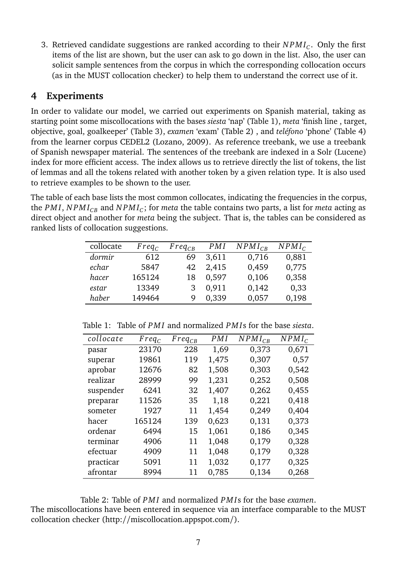3. Retrieved candidate suggestions are ranked according to their *N PM I<sup>C</sup>* . Only the first items of the list are shown, but the user can ask to go down in the list. Also, the user can solicit sample sentences from the corpus in which the corresponding collocation occurs (as in the MUST collocation checker) to help them to understand the correct use of it.

### **4 Experiments**

In order to validate our model, we carried out experiments on Spanish material, taking as starting point some miscollocations with the bases *siesta* 'nap' (Table 1), *meta* 'finish line , target, objective, goal, goalkeeper' (Table 3), *examen* 'exam' (Table 2) , and *teléfono* 'phone' (Table 4) from the learner corpus CEDEL2 (Lozano, 2009). As reference treebank, we use a treebank of Spanish newspaper material. The sentences of the treebank are indexed in a Solr (Lucene) index for more efficient access. The index allows us to retrieve directly the list of tokens, the list of lemmas and all the tokens related with another token by a given relation type. It is also used to retrieve examples to be shown to the user.

The table of each base lists the most common collocates, indicating the frequencies in the corpus, the *PM I*, *N PM IC B* and *N PM I<sup>C</sup>* ; for *meta* the table contains two parts, a list for *meta* acting as direct object and another for *meta* being the subject. That is, the tables can be considered as ranked lists of collocation suggestions.

| collocate | $Freq_C$ | $Freq_{CR}$ | PMI   | $NPMI_{CR}$ | $NPMI_C$ |
|-----------|----------|-------------|-------|-------------|----------|
| dormir    | 612      | 69          | 3.611 | 0,716       | 0,881    |
| echar     | 5847     | 42          | 2,415 | 0,459       | 0,775    |
| hacer     | 165124   | 18          | 0.597 | 0,106       | 0,358    |
| estar     | 13349    |             | 0.911 | 0,142       | 0,33     |
| haber     | 149464   | 9           | 0.339 | 0,057       | 0,198    |

Table 1: Table of *PM I* and normalized *PM I*s for the base *siesta*.

| collocate | $Freq_C$ | $Freq_{CB}$ | PMI   | $NPMI_{CR}$ | $NPMI_C$ |
|-----------|----------|-------------|-------|-------------|----------|
| pasar     | 23170    | 228         | 1,69  | 0,373       | 0,671    |
| superar   | 19861    | 119         | 1,475 | 0,307       | 0,57     |
| aprobar   | 12676    | 82          | 1,508 | 0,303       | 0,542    |
| realizar  | 28999    | 99          | 1,231 | 0,252       | 0,508    |
| suspender | 6241     | 32          | 1,407 | 0,262       | 0,455    |
| preparar  | 11526    | 35          | 1,18  | 0,221       | 0,418    |
| someter   | 1927     | 11          | 1,454 | 0,249       | 0,404    |
| hacer     | 165124   | 139         | 0,623 | 0,131       | 0,373    |
| ordenar   | 6494     | 15          | 1.061 | 0,186       | 0,345    |
| terminar  | 4906     | 11          | 1,048 | 0,179       | 0,328    |
| efectuar  | 4909     | 11          | 1,048 | 0,179       | 0,328    |
| practicar | 5091     | 11          | 1,032 | 0,177       | 0,325    |
| afrontar  | 8994     | 11          | 0.785 | 0.134       | 0,268    |

Table 2: Table of *PM I* and normalized *PM I*s for the base *examen*.

The miscollocations have been entered in sequence via an interface comparable to the MUST collocation checker (http://miscollocation.appspot.com/).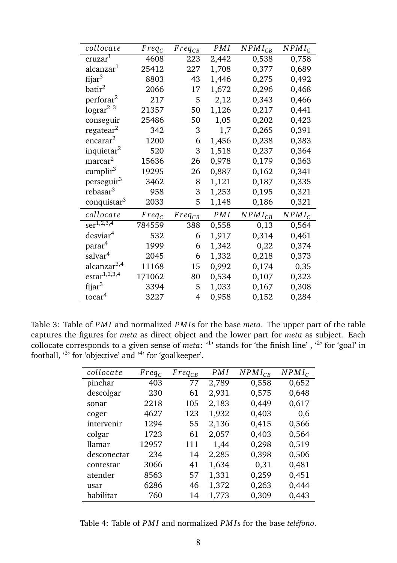| collocate                        | $Freq_C$ | $Freq_{CB}$ | PMI   | $NPMI_{CB}$ | $NPMI_C$ |
|----------------------------------|----------|-------------|-------|-------------|----------|
| cruzar <sup>1</sup>              | 4608     | 223         | 2,442 | 0,538       | 0,758    |
| alcanzar <sup>1</sup>            | 25412    | 227         | 1,708 | 0,377       | 0,689    |
| fijar <sup>3</sup>               | 8803     | 43          | 1,446 | 0,275       | 0,492    |
| batir <sup>2</sup>               | 2066     | 17          | 1,672 | 0,296       | 0,468    |
| perforar <sup>2</sup>            | 217      | 5           | 2,12  | 0,343       | 0,466    |
| lograr <sup>2</sup> <sup>3</sup> | 21357    | 50          | 1,126 | 0,217       | 0,441    |
| conseguir                        | 25486    | 50          | 1,05  | 0,202       | 0,423    |
| regatear <sup>2</sup>            | 342      | 3           | 1,7   | 0,265       | 0,391    |
| encarar <sup>2</sup>             | 1200     | 6           | 1,456 | 0,238       | 0,383    |
| inquietar <sup>2</sup>           | 520      | 3           | 1,518 | 0,237       | 0,364    |
| marcar <sup>2</sup>              | 15636    | 26          | 0,978 | 0,179       | 0,363    |
| cumplir <sup>3</sup>             | 19295    | 26          | 0,887 | 0,162       | 0,341    |
| perseguir <sup>3</sup>           | 3462     | 8           | 1,121 | 0,187       | 0,335    |
| rebasar <sup>3</sup>             | 958      | 3           | 1,253 | 0,195       | 0,321    |
| conquistar <sup>3</sup>          | 2033     | 5           | 1,148 | 0,186       | 0,321    |
| collocate                        | $Freq_C$ | $Freq_{CB}$ | PMI   | $NPMI_{CB}$ | $NPMI_C$ |
| $ser^{1,2,3,4}$                  | 784559   | 388         | 0,558 | 0,13        | 0,564    |
| desviar <sup>4</sup>             | 532      | 6           | 1,917 | 0,314       | 0,461    |
| parar <sup>4</sup>               | 1999     | 6           | 1,342 | 0,22        | 0,374    |
| salvar <sup>4</sup>              | 2045     | 6           | 1,332 | 0,218       | 0,373    |
| alcanzar <sup>3,4</sup>          | 11168    | 15          | 0.992 | 0,174       | 0,35     |
| estar <sup>1,2,3,4</sup>         | 171062   | 80          | 0,534 | 0,107       | 0,323    |
| fijar <sup>3</sup>               | 3394     | 5           | 1,033 | 0,167       | 0,308    |
| tocar <sup>4</sup>               | 3227     | 4           | 0,958 | 0,152       | 0,284    |

Table 3: Table of *PM I* and normalized *PM I*s for the base *meta*. The upper part of the table captures the figures for *meta* as direct object and the lower part for *meta* as subject. Each collocate corresponds to a given sense of *meta*: <sup>4</sup> stands for 'the finish line', <sup>4</sup> for 'goal' in football, <sup>3</sup> for 'objective' and <sup>4</sup> for 'goalkeeper'.

| collocate   | $Freq_C$ | $Freq_{CB}$ | PMI   | $NPMI_{CB}$ | $NPMI_C$ |
|-------------|----------|-------------|-------|-------------|----------|
| pinchar     | 403      | 77          | 2,789 | 0,558       | 0,652    |
| descolgar   | 230      | 61          | 2,931 | 0,575       | 0,648    |
| sonar       | 2218     | 105         | 2,183 | 0,449       | 0,617    |
| coger       | 4627     | 123         | 1,932 | 0,403       | 0,6      |
| intervenir  | 1294     | 55          | 2,136 | 0,415       | 0,566    |
| colgar      | 1723     | 61          | 2,057 | 0,403       | 0,564    |
| llamar      | 12957    | 111         | 1,44  | 0,298       | 0,519    |
| desconectar | 234      | 14          | 2,285 | 0,398       | 0,506    |
| contestar   | 3066     | 41          | 1,634 | 0,31        | 0,481    |
| atender     | 8563     | 57          | 1,331 | 0,259       | 0,451    |
| usar        | 6286     | 46          | 1,372 | 0,263       | 0,444    |
| habilitar   | 760      | 14          | 1,773 | 0,309       | 0,443    |

Table 4: Table of *PM I* and normalized *PM I*s for the base *teléfono*.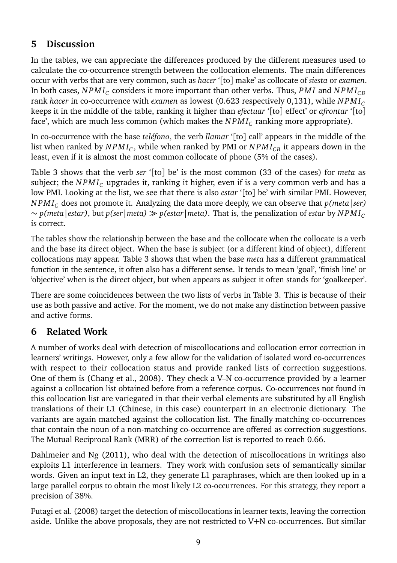## **5 Discussion**

In the tables, we can appreciate the differences produced by the different measures used to calculate the co-occurrence strength between the collocation elements. The main differences occur with verbs that are very common, such as *hacer* '[to] make' as collocate of *siesta* or *examen*. In both cases,  $NPMI_{\textstyle\sub{C}}$  considers it more important than other verbs. Thus,  $PMI$  and  $NPMI_{CB}$ rank *hacer* in co-occurrence with *examen* as lowest (0.623 respectively 0,131), while *N PM I<sup>C</sup>* keeps it in the middle of the table, ranking it higher than *efectuar* '[to] effect' or *afrontar* '[to] face', which are much less common (which makes the  $\mathit{NPMI_C}$  ranking more appropriate).

In co-occurrence with the base *teléfono*, the verb *llamar* '[to] call' appears in the middle of the list when ranked by  $\mathit{NPMI_C},$  while when ranked by PMI or  $\mathit{NPMI_{CB}}$  it appears down in the least, even if it is almost the most common collocate of phone (5% of the cases).

Table 3 shows that the verb *ser* '[to] be' is the most common (33 of the cases) for *meta* as subject; the  $N P M I_C$  upgrades it, ranking it higher, even if is a very common verb and has a low PMI. Looking at the list, we see that there is also *estar* '[to] be' with similar PMI. However, *N PM I<sup>C</sup>* does not promote it. Analyzing the data more deeply, we can observe that *p(meta|ser)* ∼ *p(meta|estar)*, but *p(ser|meta)* ≫ *p(estar|meta)*. That is, the penalization of *estar* by *N PM I<sup>C</sup>* is correct.

The tables show the relationship between the base and the collocate when the collocate is a verb and the base its direct object. When the base is subject (or a different kind of object), different collocations may appear. Table 3 shows that when the base *meta* has a different grammatical function in the sentence, it often also has a different sense. It tends to mean 'goal', 'finish line' or 'objective' when is the direct object, but when appears as subject it often stands for 'goalkeeper'.

There are some coincidences between the two lists of verbs in Table 3. This is because of their use as both passive and active. For the moment, we do not make any distinction between passive and active forms.

# **6 Related Work**

A number of works deal with detection of miscollocations and collocation error correction in learners' writings. However, only a few allow for the validation of isolated word co-occurrences with respect to their collocation status and provide ranked lists of correction suggestions. One of them is (Chang et al., 2008). They check a V–N co-occurrence provided by a learner against a collocation list obtained before from a reference corpus. Co-occurrences not found in this collocation list are variegated in that their verbal elements are substituted by all English translations of their L1 (Chinese, in this case) counterpart in an electronic dictionary. The variants are again matched against the collocation list. The finally matching co-occurrences that contain the noun of a non-matching co-occurrence are offered as correction suggestions. The Mutual Reciprocal Rank (MRR) of the correction list is reported to reach 0.66.

Dahlmeier and Ng (2011), who deal with the detection of miscollocations in writings also exploits L1 interference in learners. They work with confusion sets of semantically similar words. Given an input text in L2, they generate L1 paraphrases, which are then looked up in a large parallel corpus to obtain the most likely L2 co-occurrences. For this strategy, they report a precision of 38%.

Futagi et al. (2008) target the detection of miscollocations in learner texts, leaving the correction aside. Unlike the above proposals, they are not restricted to V+N co-occurrences. But similar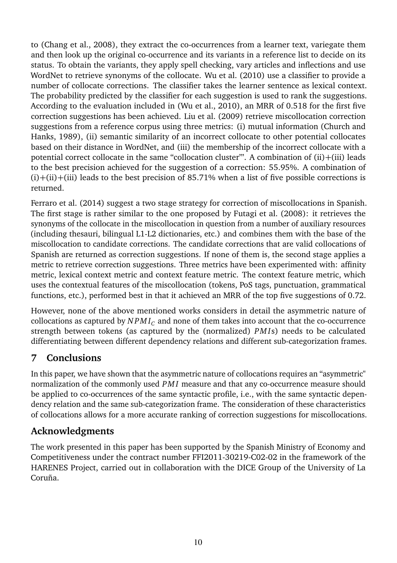to (Chang et al., 2008), they extract the co-occurrences from a learner text, variegate them and then look up the original co-occurrence and its variants in a reference list to decide on its status. To obtain the variants, they apply spell checking, vary articles and inflections and use WordNet to retrieve synonyms of the collocate. Wu et al. (2010) use a classifier to provide a number of collocate corrections. The classifier takes the learner sentence as lexical context. The probability predicted by the classifier for each suggestion is used to rank the suggestions. According to the evaluation included in (Wu et al., 2010), an MRR of 0.518 for the first five correction suggestions has been achieved. Liu et al. (2009) retrieve miscollocation correction suggestions from a reference corpus using three metrics: (i) mutual information (Church and Hanks, 1989), (ii) semantic similarity of an incorrect collocate to other potential collocates based on their distance in WordNet, and (iii) the membership of the incorrect collocate with a potential correct collocate in the same "collocation cluster'". A combination of (ii)+(iii) leads to the best precision achieved for the suggestion of a correction: 55.95%. A combination of  $(i)+(ii)+(iii)$  leads to the best precision of 85.71% when a list of five possible corrections is returned.

Ferraro et al. (2014) suggest a two stage strategy for correction of miscollocations in Spanish. The first stage is rather similar to the one proposed by Futagi et al. (2008): it retrieves the synonyms of the collocate in the miscollocation in question from a number of auxiliary resources (including thesauri, bilingual L1-L2 dictionaries, etc.) and combines them with the base of the miscollocation to candidate corrections. The candidate corrections that are valid collocations of Spanish are returned as correction suggestions. If none of them is, the second stage applies a metric to retrieve correction suggestions. Three metrics have been experimented with: affinity metric, lexical context metric and context feature metric. The context feature metric, which uses the contextual features of the miscollocation (tokens, PoS tags, punctuation, grammatical functions, etc.), performed best in that it achieved an MRR of the top five suggestions of 0.72.

However, none of the above mentioned works considers in detail the asymmetric nature of collocations as captured by  $NPM_{C}$  and none of them takes into account that the co-occurrence strength between tokens (as captured by the (normalized) *PM I*s) needs to be calculated differentiating between different dependency relations and different sub-categorization frames.

## **7 Conclusions**

In this paper, we have shown that the asymmetric nature of collocations requires an "asymmetric" normalization of the commonly used *PM I* measure and that any co-occurrence measure should be applied to co-occurrences of the same syntactic profile, i.e., with the same syntactic dependency relation and the same sub-categorization frame. The consideration of these characteristics of collocations allows for a more accurate ranking of correction suggestions for miscollocations.

## **Acknowledgments**

The work presented in this paper has been supported by the Spanish Ministry of Economy and Competitiveness under the contract number FFI2011-30219-C02-02 in the framework of the HARENES Project, carried out in collaboration with the DICE Group of the University of La Coruña.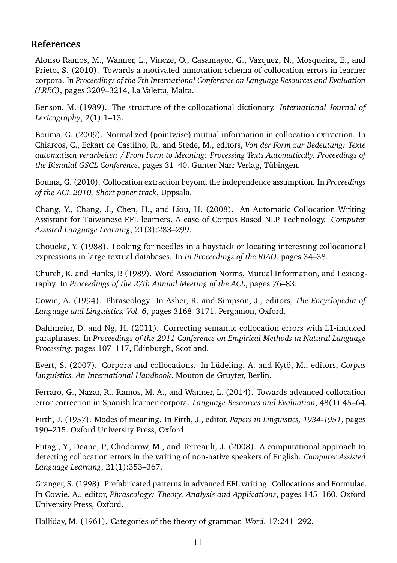### **References**

Alonso Ramos, M., Wanner, L., Vincze, O., Casamayor, G., Vázquez, N., Mosqueira, E., and Prieto, S. (2010). Towards a motivated annotation schema of collocation errors in learner corpora. In *Proceedings of the 7th International Conference on Language Resources and Evaluation (LREC)*, pages 3209–3214, La Valetta, Malta.

Benson, M. (1989). The structure of the collocational dictionary. *International Journal of Lexicography*, 2(1):1–13.

Bouma, G. (2009). Normalized (pointwise) mutual information in collocation extraction. In Chiarcos, C., Eckart de Castilho, R., and Stede, M., editors, *Von der Form zur Bedeutung: Texte automatisch verarbeiten / From Form to Meaning: Processing Texts Automatically. Proceedings of the Biennial GSCL Conference*, pages 31–40. Gunter Narr Verlag, Tübingen.

Bouma, G. (2010). Collocation extraction beyond the independence assumption. In *Proceedings of the ACL 2010, Short paper track*, Uppsala.

Chang, Y., Chang, J., Chen, H., and Liou, H. (2008). An Automatic Collocation Writing Assistant for Taiwanese EFL learners. A case of Corpus Based NLP Technology. *Computer Assisted Language Learning*, 21(3):283–299.

Choueka, Y. (1988). Looking for needles in a haystack or locating interesting collocational expressions in large textual databases. In *In Proceedings of the RIAO*, pages 34–38.

Church, K. and Hanks, P. (1989). Word Association Norms, Mutual Information, and Lexicography. In *Proceedings of the 27th Annual Meeting of the ACL*, pages 76–83.

Cowie, A. (1994). Phraseology. In Asher, R. and Simpson, J., editors, *The Encyclopedia of Language and Linguistics, Vol. 6*, pages 3168–3171. Pergamon, Oxford.

Dahlmeier, D. and Ng, H. (2011). Correcting semantic collocation errors with L1-induced paraphrases. In *Proceedings of the 2011 Conference on Empirical Methods in Natural Language Processing*, pages 107–117, Edinburgh, Scotland.

Evert, S. (2007). Corpora and collocations. In Lüdeling, A. and Kytö, M., editors, *Corpus Linguistics. An International Handbook*. Mouton de Gruyter, Berlin.

Ferraro, G., Nazar, R., Ramos, M. A., and Wanner, L. (2014). Towards advanced collocation error correction in Spanish learner corpora. *Language Resources and Evaluation*, 48(1):45–64.

Firth, J. (1957). Modes of meaning. In Firth, J., editor, *Papers in Linguistics, 1934-1951*, pages 190–215. Oxford University Press, Oxford.

Futagi, Y., Deane, P., Chodorow, M., and Tetreault, J. (2008). A computational approach to detecting collocation errors in the writing of non-native speakers of English. *Computer Assisted Language Learning*, 21(1):353–367.

Granger, S. (1998). Prefabricated patterns in advanced EFL writing: Collocations and Formulae. In Cowie, A., editor, *Phraseology: Theory, Analysis and Applications*, pages 145–160. Oxford University Press, Oxford.

Halliday, M. (1961). Categories of the theory of grammar. *Word*, 17:241–292.